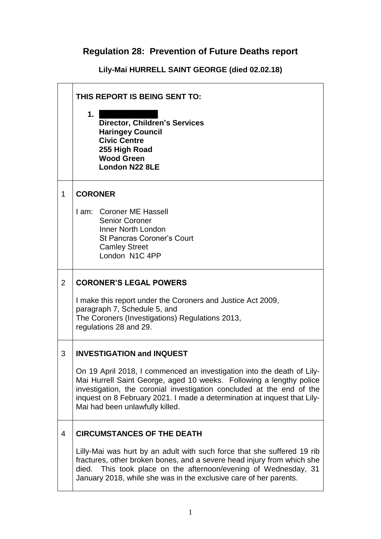## **Regulation 28: Prevention of Future Deaths report**

**Lily-Mai HURRELL SAINT GEORGE (died 02.02.18)**

|                | THIS REPORT IS BEING SENT TO:                                                                                                                                                                                                                                                                                                         |  |
|----------------|---------------------------------------------------------------------------------------------------------------------------------------------------------------------------------------------------------------------------------------------------------------------------------------------------------------------------------------|--|
|                | 1.<br><b>Director, Children's Services</b><br><b>Haringey Council</b><br><b>Civic Centre</b><br>255 High Road<br><b>Wood Green</b><br><b>London N22 8LE</b>                                                                                                                                                                           |  |
| 1              | <b>CORONER</b>                                                                                                                                                                                                                                                                                                                        |  |
|                | I am: Coroner ME Hassell<br><b>Senior Coroner</b><br><b>Inner North London</b><br><b>St Pancras Coroner's Court</b><br><b>Camley Street</b><br>London N1C 4PP                                                                                                                                                                         |  |
| $\overline{2}$ | <b>CORONER'S LEGAL POWERS</b>                                                                                                                                                                                                                                                                                                         |  |
|                | I make this report under the Coroners and Justice Act 2009,<br>paragraph 7, Schedule 5, and<br>The Coroners (Investigations) Regulations 2013,<br>regulations 28 and 29.                                                                                                                                                              |  |
| 3              | <b>INVESTIGATION and INQUEST</b>                                                                                                                                                                                                                                                                                                      |  |
|                | On 19 April 2018, I commenced an investigation into the death of Lily-<br>Mai Hurrell Saint George, aged 10 weeks. Following a lengthy police<br>investigation, the coronial investigation concluded at the end of the<br>inquest on 8 February 2021. I made a determination at inquest that Lily-<br>Mai had been unlawfully killed. |  |
| 4              | <b>CIRCUMSTANCES OF THE DEATH</b>                                                                                                                                                                                                                                                                                                     |  |
|                | Lilly-Mai was hurt by an adult with such force that she suffered 19 rib<br>fractures, other broken bones, and a severe head injury from which she<br>died. This took place on the afternoon/evening of Wednesday, 31<br>January 2018, while she was in the exclusive care of her parents.                                             |  |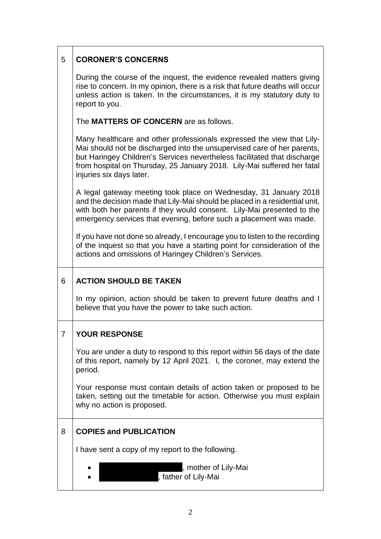| 5 | <b>CORONER'S CONCERNS</b>                                                                                                                                                                                                                                                                                                           |  |  |
|---|-------------------------------------------------------------------------------------------------------------------------------------------------------------------------------------------------------------------------------------------------------------------------------------------------------------------------------------|--|--|
|   | During the course of the inquest, the evidence revealed matters giving<br>rise to concern. In my opinion, there is a risk that future deaths will occur<br>unless action is taken. In the circumstances, it is my statutory duty to<br>report to you.                                                                               |  |  |
|   | The <b>MATTERS OF CONCERN</b> are as follows.                                                                                                                                                                                                                                                                                       |  |  |
|   | Many healthcare and other professionals expressed the view that Lily-<br>Mai should not be discharged into the unsupervised care of her parents,<br>but Haringey Children's Services nevertheless facilitated that discharge<br>from hospital on Thursday, 25 January 2018. Lily-Mai suffered her fatal<br>injuries six days later. |  |  |
|   | A legal gateway meeting took place on Wednesday, 31 January 2018<br>and the decision made that Lily-Mai should be placed in a residential unit,<br>with both her parents if they would consent. Lily-Mai presented to the<br>emergency services that evening, before such a placement was made.                                     |  |  |
|   | If you have not done so already, I encourage you to listen to the recording<br>of the inquest so that you have a starting point for consideration of the<br>actions and omissions of Haringey Children's Services.                                                                                                                  |  |  |
|   | <b>ACTION SHOULD BE TAKEN</b>                                                                                                                                                                                                                                                                                                       |  |  |
| 6 |                                                                                                                                                                                                                                                                                                                                     |  |  |
|   | In my opinion, action should be taken to prevent future deaths and I<br>believe that you have the power to take such action.                                                                                                                                                                                                        |  |  |
| 7 | <b>YOUR RESPONSE</b>                                                                                                                                                                                                                                                                                                                |  |  |
|   | You are under a duty to respond to this report within 56 days of the date<br>of this report, namely by 12 April 2021. I, the coroner, may extend the<br>period.                                                                                                                                                                     |  |  |
|   | Your response must contain details of action taken or proposed to be<br>taken, setting out the timetable for action. Otherwise you must explain<br>why no action is proposed.                                                                                                                                                       |  |  |
| 8 | <b>COPIES and PUBLICATION</b>                                                                                                                                                                                                                                                                                                       |  |  |
|   | I have sent a copy of my report to the following.                                                                                                                                                                                                                                                                                   |  |  |

 $\mathbf{I}$